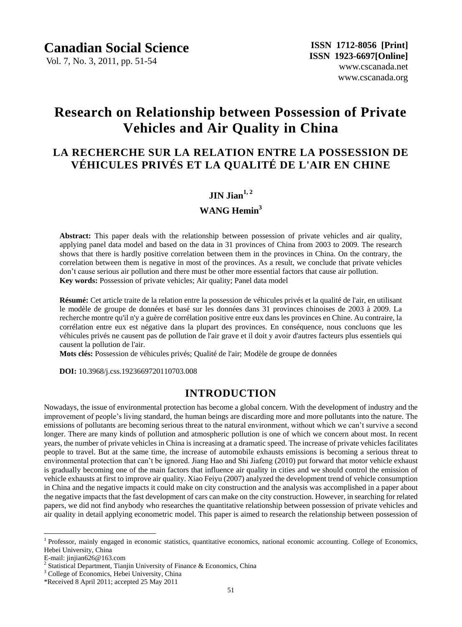Vol. 7, No. 3, 2011, pp. 51-54

# **Research on Relationship between Possession of Private Vehicles and Air Quality in China**

# **LA RECHERCHE SUR LA RELATION ENTRE LA POSSESSION DE VÉHICULES PRIVÉS ET LA QUALITÉ DE L'AIR EN CHINE**

### $\bf JIN$   $\bf Jian$ <sup> $1,2$ </sup>

#### **WANG Hemin<sup>3</sup>**

**Abstract:** This paper deals with the relationship between possession of private vehicles and air quality, applying panel data model and based on the data in 31 provinces of China from 2003 to 2009. The research shows that there is hardly positive correlation between them in the provinces in China. On the contrary, the correlation between them is negative in most of the provinces. As a result, we conclude that private vehicles don't cause serious air pollution and there must be other more essential factors that cause air pollution. **Key words:** Possession of private vehicles; Air quality; Panel data model

**Résumé:** Cet article traite de la relation entre la possession de véhicules privés et la qualité de l'air, en utilisant le modèle de groupe de données et basé sur les données dans 31 provinces chinoises de 2003 à 2009. La recherche montre qu'il n'y a guère de corrélation positive entre eux dans les provinces en Chine. Au contraire, la corrélation entre eux est négative dans la plupart des provinces. En conséquence, nous concluons que les véhicules privés ne causent pas de pollution de l'air grave et il doit y avoir d'autres facteurs plus essentiels qui causent la pollution de l'air.

**Mots clés:** Possession de véhicules privés; Qualité de l'air; Modèle de groupe de données

**DOI:** 10.3968/j.css.1923669720110703.008

## **INTRODUCTION**

Nowadays, the issue of environmental protection has become a global concern. With the development of industry and the improvement of people's living standard, the human beings are discarding more and more pollutants into the nature. The emissions of pollutants are becoming serious threat to the natural environment, without which we can't survive a second longer. There are many kinds of pollution and atmospheric pollution is one of which we concern about most. In recent years, the number of private vehicles in China is increasing at a dramatic speed. The increase of private vehicles facilitates people to travel. But at the same time, the increase of automobile exhausts emissions is becoming a serious threat to environmental protection that can't be ignored. Jiang Hao and Shi Jiafeng (2010) put forward that motor vehicle exhaust is gradually becoming one of the main factors that influence air quality in cities and we should control the emission of vehicle exhausts at first to improve air quality. Xiao Feiyu (2007) analyzed the development trend of vehicle consumption in China and the negative impacts it could make on city construction and the analysis was accomplished in a paper about the negative impacts that the fast development of cars can make on the city construction. However, in searching for related papers, we did not find anybody who researches the quantitative relationship between possession of private vehicles and air quality in detail applying econometric model. This paper is aimed to research the relationship between possession of

E-mail: jinjian626@163.com

 $\overline{a}$ 

<sup>&</sup>lt;sup>1</sup> Professor, mainly engaged in economic statistics, quantitative economics, national economic accounting. College of Economics, Hebei University, China

<sup>&</sup>lt;sup>2</sup> Statistical Department, Tianjin University of Finance & Economics, China

<sup>&</sup>lt;sup>3</sup> College of Economics, Hebei University, China

<sup>\*</sup>Received 8 April 2011; accepted 25 May 2011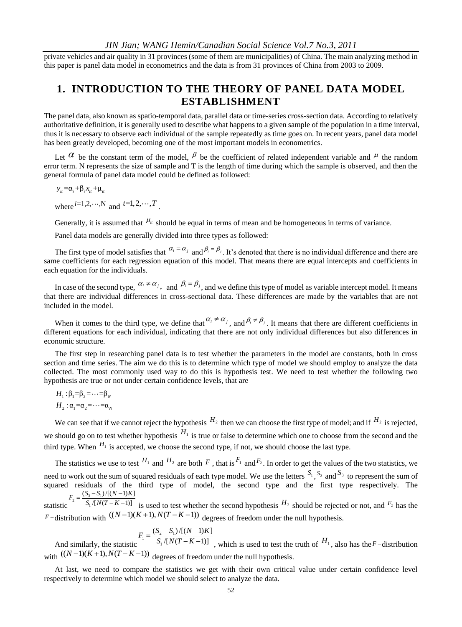private vehicles and air quality in 31 provinces (some of them are municipalities) of China. The main analyzing method in this paper is panel data model in econometrics and the data is from 31 provinces of China from 2003 to 2009.

# **1. INTRODUCTION TO THE THEORY OF PANEL DATA MODEL ESTABLISHMENT**

The panel data, also known as spatio-temporal data, parallel data or time-series cross-section data. According to relatively authoritative definition, it is generally used to describe what happens to a given sample of the population in a time interval, thus it is necessary to observe each individual of the sample repeatedly as time goes on. In recent years, panel data model has been greatly developed, becoming one of the most important models in econometrics.

Let  $\alpha$  be the constant term of the model,  $\beta$  be the coefficient of related independent variable and  $\mu$  the random error term. N represents the size of sample and T is the length of time during which the sample is observed, and then the general formula of panel data model could be defined as followed:

$$
y_{it}{=}\alpha_i{+}\beta_i x_{it}{+}\mu_{it}
$$

where  $^{i=1,2,\cdots,N}$  and  $^{t=1,2,\cdots,T}$ .

Generally, it is assumed that  $\mu_{\mu}$  should be equal in terms of mean and be homogeneous in terms of variance.

Panel data models are generally divided into three types as followed:

The first type of model satisfies that  $\alpha_i = \alpha_j$  and  $\beta_i = \beta_j$ . It's denoted that there is no individual difference and there are same coefficients for each regression equation of this model. That means there are equal intercepts and coefficients in each equation for the individuals.

In case of the second type,  $\alpha_i \neq \alpha_j$ , and  $\beta_i = \beta_j$ , and we define this type of model as variable intercept model. It means that there are individual differences in cross-sectional data. These differences are made by the variables that are not included in the model.

When it comes to the third type, we define that  $\alpha_i \neq \alpha_j$ , and  $\beta_i \neq \beta_j$ . It means that there are different coefficients in different equations for each individual, indicating that there are not only individual differences but also differences in economic structure.

The first step in researching panel data is to test whether the parameters in the model are constants, both in cross section and time series. The aim we do this is to determine which type of model we should employ to analyze the data collected. The most commonly used way to do this is hypothesis test. We need to test whether the following two hypothesis are true or not under certain confidence levels, that are

$$
H_1: \beta_1 = \beta_2 = \cdots = \beta_N
$$
  

$$
H_2: \alpha_1 = \alpha_2 = \cdots = \alpha_N
$$

We can see that if we cannot reject the hypothesis  $H_2$  then we can choose the first type of model; and if  $H_2$  is rejected, we should go on to test whether hypothesis  $H_1$  is true or false to determine which one to choose from the second and the third type. When  $H_1$  is accepted, we choose the second type, if not, we should choose the last type.

The statistics we use to test  $H_1$  and  $H_2$  are both F, that is  $F_1$  and  $F_2$ . In order to get the values of the two statistics, we need to work out the sum of squared residuals of each type model. We use the letters  $S_1$ ,  $S_2$  and  $S_3$  to represent the sum of squared residuals of the third type of model, the second type and the first type respectively. The  $S_2 = \frac{(S_3 - S_1)}{S_1 / [N]}$  $(S_3 - S_1) / [(N-1)K]$  $F_2 = \frac{(S_3 - S_1)/[(N-1)K]}{S_1/[N(T-K-1)]}$ 

statistic  $\frac{1}{2}$  $=\frac{(S_3-S_1)/[(N-1)K]}{S_1/[N(T-K-1)]}$  is used to test whether the second hypothesis  $H_2$  should be rejected or not, and  $F_2$  has the union with  $((N-1)(K+1), N(T-K-1))$  degrees of freedom under the null hypothesis. *F*-distribution with  $((N-1)(K+1), N(T-K-1))$  degrees of freedom under the null hypothesis.

$$
F_1 = \frac{(S_2 - S_1)/[(N - 1)K]}{S_1/[N(T - K - 1)]}
$$

And similarly, the statistic  $\sqrt{[N(T-K-1)]}$  $S_1 / [N(T-K)]$  $=\frac{(S_2-S_1)/[(N-1)K]}{S_1/[N(T-K-1)]}$ , which is used to test the truth of  $H_1$ , also has the *F*-distribution with (( 1)( 1), ( 1)) *N K N T K* degrees of freedom under the null hypothesis.

At last, we need to compare the statistics we get with their own critical value under certain confidence level respectively to determine which model we should select to analyze the data.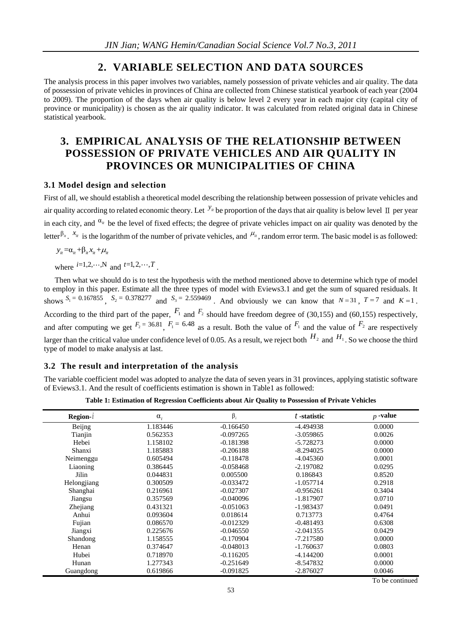#### **2. VARIABLE SELECTION AND DATA SOURCES**

The analysis process in this paper involves two variables, namely possession of private vehicles and air quality. The data of possession of private vehicles in provinces of China are collected from Chinese statistical yearbook of each year (2004 to 2009). The proportion of the days when air quality is below level 2 every year in each major city (capital city of province or municipality) is chosen as the air quality indicator. It was calculated from related original data in Chinese statistical yearbook.

# **3. EMPIRICAL ANALYSIS OF THE RELATIONSHIP BETWEEN POSSESSION OF PRIVATE VEHICLES AND AIR QUALITY IN PROVINCES OR MUNICIPALITIES OF CHINA**

#### **3.1 Model design and selection**

First of all, we should establish a theoretical model describing the relationship between possession of private vehicles and air quality according to related economic theory. Let  $y_n$  be proportion of the days that air quality is below level  $\Pi$  per year in each city, and  $\alpha_{ii}$  be the level of fixed effects; the degree of private vehicles impact on air quality was denoted by the letter  $\beta_{ii}$ .  $x_{ii}$  is the logarithm of the number of private vehicles, and  $\mu_{ii}$ , random error term. The basic model is as followed:

 $y_{it} = \alpha_{it} + \beta_{it} x_{it} + \mu_{it}$ 

where  $i=1,2,\dots,N$  and  $t=1,2,\dots,T$ .

Then what we should do is to test the hypothesis with the method mentioned above to determine which type of model to employ in this paper. Estimate all the three types of model with Eviews3.1 and get the sum of squared residuals. It shows  $S_1 = 0.167855$ ,  $S_2 = 0.378277$  and  $S_3 = 2.559469$ . And obviously we can know that  $N = 31$ ,  $T = 7$  and  $K = 1$ . According to the third part of the paper,  $F_1$  and  $F_2$  should have freedom degree of (30,155) and (60,155) respectively, and after computing we get  $F_2 = 36.81$ ,  $F_1 = 6.48$  as a result. Both the value of  $F_1$  and the value of  $F_2$  are respectively larger than the critical value under confidence level of 0.05. As a result, we reject both  $H_2$  and  $H_1$ . So we choose the third type of model to make analysis at last.

#### **3.2 The result and interpretation of the analysis**

The variable coefficient model was adopted to analyze the data of seven years in 31 provinces, applying statistic software of Eviews3.1. And the result of coefficients estimation is shown in Table1 as followed:

| Region-i    | $\alpha_i$ | $\beta_i$   | t-statistic | $p$ -value |
|-------------|------------|-------------|-------------|------------|
| Beijng      | 1.183446   | $-0.166450$ | -4.494938   | 0.0000     |
| Tianjin     | 0.562353   | $-0.097265$ | $-3.059865$ | 0.0026     |
| Hebei       | 1.158102   | $-0.181398$ | $-5.728273$ | 0.0000     |
| Shanxi      | 1.185883   | $-0.206188$ | $-8.294025$ | 0.0000     |
| Neimenggu   | 0.605494   | $-0.118478$ | $-4.045360$ | 0.0001     |
| Liaoning    | 0.386445   | $-0.058468$ | $-2.197082$ | 0.0295     |
| Jilin       | 0.044831   | 0.005500    | 0.186843    | 0.8520     |
| Helongjiang | 0.300509   | $-0.033472$ | $-1.057714$ | 0.2918     |
| Shanghai    | 0.216961   | $-0.027307$ | $-0.956261$ | 0.3404     |
| Jiangsu     | 0.357569   | $-0.040096$ | $-1.817907$ | 0.0710     |
| Zhejiang    | 0.431321   | $-0.051063$ | $-1.983437$ | 0.0491     |
| Anhui       | 0.093604   | 0.018614    | 0.713773    | 0.4764     |
| Fujian      | 0.086570   | $-0.012329$ | $-0.481493$ | 0.6308     |
| Jiangxi     | 0.225676   | $-0.046550$ | $-2.041355$ | 0.0429     |
| Shandong    | 1.158555   | $-0.170904$ | $-7.217580$ | 0.0000     |
| Henan       | 0.374647   | $-0.048013$ | $-1.760637$ | 0.0803     |
| Hubei       | 0.718970   | $-0.116205$ | $-4.144200$ | 0.0001     |
| Hunan       | 1.277343   | $-0.251649$ | $-8.547832$ | 0.0000     |
| Guangdong   | 0.619866   | $-0.091825$ | $-2.876027$ | 0.0046     |

**Table 1: Estimation of Regression Coefficients about Air Quality to Possession of Private Vehicles**

To be continued